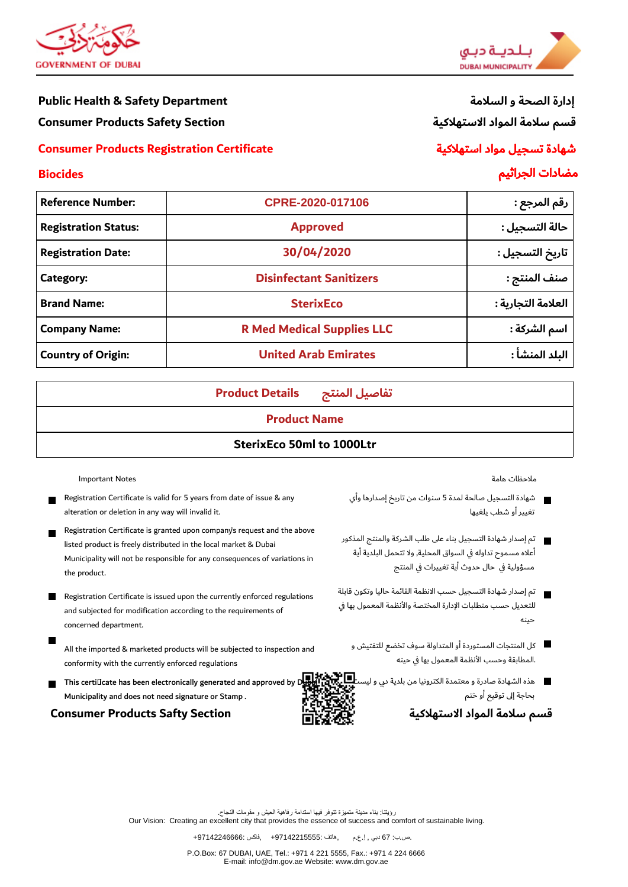

#### **Public Health & Safety Department**

**Consumer Products Safety Section** 

## **Consumer Products Registration Certificate**



# إدارة الصحة و السلامة قسم سلامة المواد الاستهلاكية

# شهادة تسجيل مواد استهلاكية

مضادات الجراثيم

# **Biocides**

| CPRE-2020-017106                                         | رقم المرجع :       |
|----------------------------------------------------------|--------------------|
| <b>Approved</b>                                          | حالة التسجيل :     |
| 30/04/2020                                               | تاريخ التسجيل :    |
| <b>Disinfectant Sanitizers</b>                           | صنف المنتج :       |
| <b>SterixEco</b>                                         | العلامة التجارية : |
| <b>R Med Medical Supplies LLC</b>                        | اسم الشركة :       |
| <b>United Arab Emirates</b><br><b>Country of Origin:</b> |                    |
|                                                          |                    |

**Product Details** تفاصيل المنتج

## **Product Name**

# **SterixEco 50ml to 1000Ltr**

**Important Notes** 

- Registration Certificate is valid for 5 years from date of issue & any alteration or deletion in any way will invalid it.
- Registration Certificate is granted upon company's request and the above listed product is freely distributed in the local market & Dubai Municipality will not be responsible for any consequences of variations in the product.
- Registration Certificate is issued upon the currently enforced regulations and subjected for modification according to the requirements of concerned department.
	- All the imported & marketed products will be subjected to inspection and conformity with the currently enforced regulations
- г This certificate has been electronically generated and approved by I Municipality and does not need signature or Stamp.

#### **Consumer Products Safty Section**

ملاحظات هامة

شهادة التسجيل صالحة لمدة 5 سنوات من تاريخ إصدارها وأي  $\blacksquare$ تغبير أو شطب بلغيها

أعلاه مسموح تداوله في السواق المحلية, ولا تتحمل البلدية أية مسؤولية في حال حدوث أية تغييرات في المنتج

- تم إصدار شهادة التسحيل حسب الانظمة القائمة حاليا وتكون قابلة للتعديل حسب متطلبات الإدارة المختصة والأنظمة المعمول بها في حىنە
	- كل المنتجات المستوردة أو المتداولة سوف تخضع للتفتيش و .المطابقة وحسب الأنظمة المعمول بها في حينه
	- هذه الشهادة صادرة و معتمدة الكترونيا من بلدية دى و ليس بحاجة إلى توقيع أو ختم